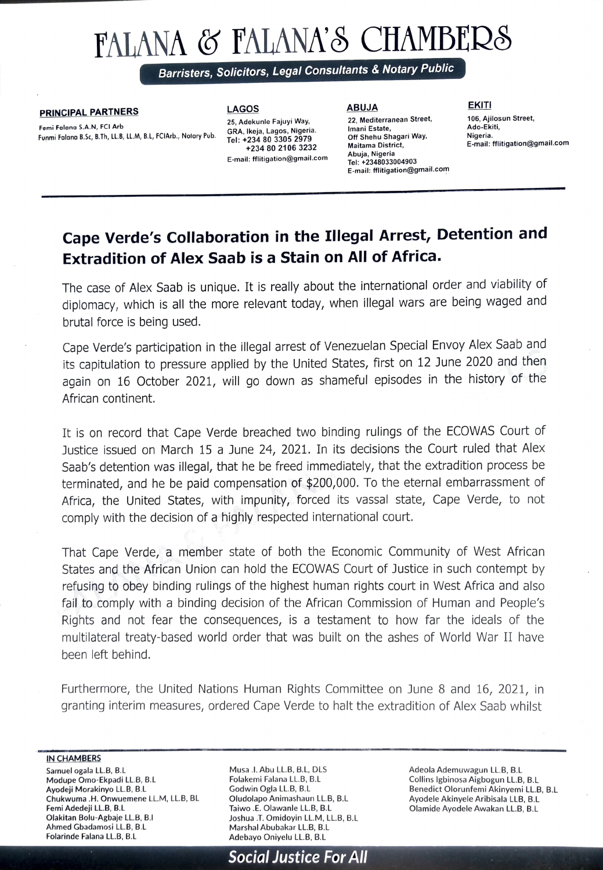## FALANA & FALANA'S CHAMBERS

Barristers, Solicitors, Legal Consultants & Notary Public

Femi Falana S.A.N, FCI Arb Funmi Falana B.Sc, B.Th, LL.B, LL.M, B.L, FCIArb., Notary Pub.

**PRINCIPAL PARTNERS** LAGOS LAGOS ABUJA EKITI 25, Adekunle Fajuyi Way, GRA, Ikeja, Lagos, Nigeria.<br>Tel: +234 80 3305 2979 +234 80 2106 3232 Abuja, Nigeria Tel: +2348033004903 E-mail: flitigation@gmail.com

22, Mediterranean Street, Imani Estate, Off Shehu Shagari Way, Maitama District, E-mail: fflitigation@gmail.com

106, Ajilosun Street, Ado-Ekiti, E-mail: fflitigation@gmail.com

## Cape Verde's Collaboration in the Illegal Arrest, Detention and Extradition of Alex Saab is a Stain on All of Africa.

The case of Alex Saab is unique. It is really about the international order and viability of diplomacy, which is all the more relevant today, when illegal wars are being waged and brutal force is being used.

Cape Verde's participation in the illegal arrest of Venezuelan Special Envoy Alex Saab and its capitulation to pressure applied by the United States, first on 12 June 2020 and then again on 16 October 2021, will go down as shameful episodes in the history of the African continent.

It is on record that Cape Verde breached two binding rulings of the ECOWAS Court of Justice issued on March 15 a June 24, 2021. In its decisions the Court ruled that Alex Saab's detention was illegal, that he be freed immediately, that the extradition process be terminated, and he be paid compensation of \$200,000. To the eternal embarrassment of Africa, the United States, with impunity, forced its vassal state, Cape Verde, to not comply with the decision of a highly respected international court.

That Cape Verde, a member state of both the Economic Community of West African States and the African Union can hold the ECOWAS Court of Justice in such contempt by refusing to obey binding rulings of the highest human rights court in West Africa and also fail to comply with a binding decision of the African Commission of Human and People's Rights and not fear the consequences, is a testament to how far the ideals of the multilateral treaty-based world order that was built on the ashes of World War II have been left behind.

Furthermore, the United Nations Human Rights Committee on June 8 and 16, 2021, in granting interim measures, ordered Cape Verde to halt the extradition of Alex Saab whilst

IN CHAMBERS

Samuel ogala LL.B, B.L Modupe Omo-Ekpadi LL.B, B.L Ayodeji Morakinyo LL.B, B.L Chukwuma .H. Onwuemene LL.M, LL.B, BL Femi Adedeji LL.B, B.L Olakitan Bolu-Agbaje LLB, B.I Ahmed Gbadamosi LL.B, B.L Folarinde Falana LL.B, B.L

Musa.I. Abu LL.B, B.L, DLS Folakemi Falana LL.B, B.L Godwin Ogla LL.B, B.L Oludolapo Animashaun LL.B, B.L Taiwo.E. Olawanle LL.B, B.L Joshua.T. Omidoyin LL.M, LL.B, B.L Marshal Abubakar LL.B, B.L Adebayo Oniyelu LL.B, B.L

Adeola Ademuwagun LL.B, B.L Collins lgbinosa Aigbogun LL.B, B.L Benedict Olorunfemi Akinyemi LL.B, B.L<br>Ayodele Akinyele Aribisala LLB, B.L Olamide Ayodele Awakan LL.B, B.L

Social Justice For All